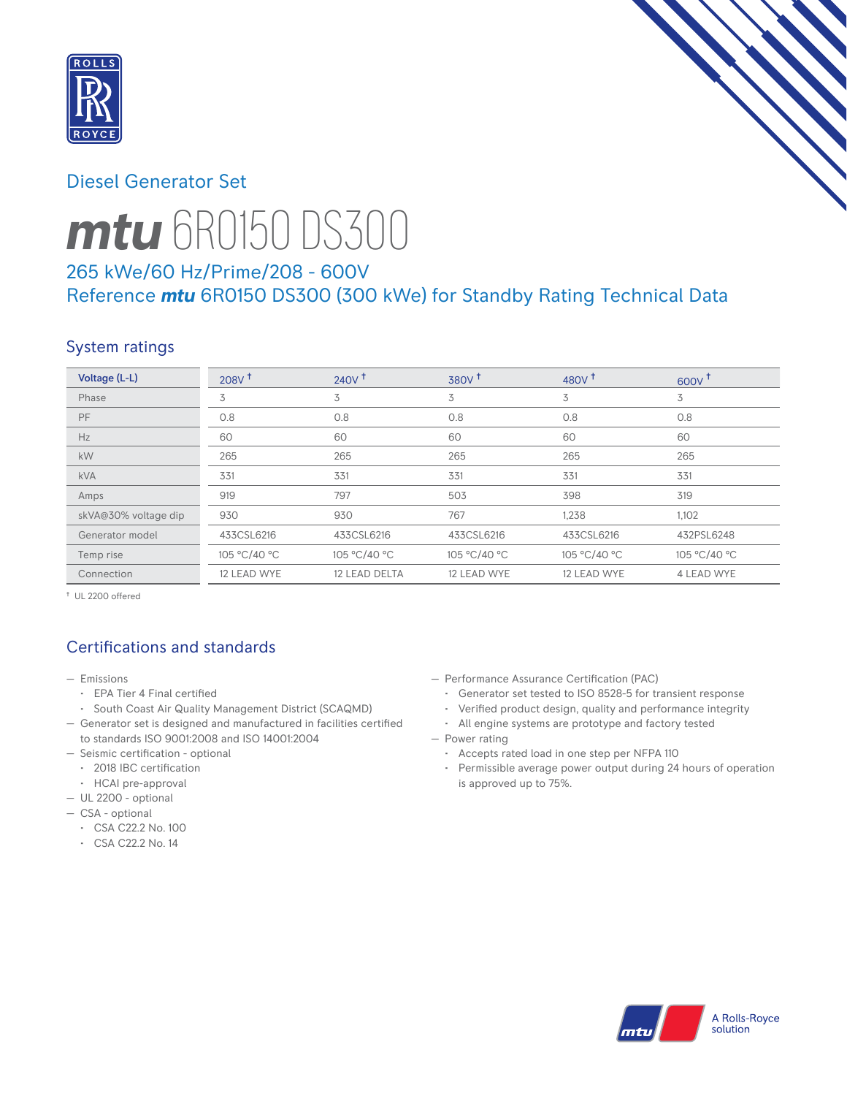

## Diesel Generator Set



# *mtu* 6R0150 DS300

## 265 kWe/60 Hz/Prime/208 - 600V Reference *mtu* 6R0150 DS300 (300 kWe) for Standby Rating Technical Data

# System ratings

| Voltage (L-L)        | 208V <sup>†</sup> | $240V^{\dagger}$ | 380V <sup>†</sup> | 480 $V†$     | 600V         |
|----------------------|-------------------|------------------|-------------------|--------------|--------------|
| Phase                | 3                 | 3                | 3                 | 3            | 3            |
| PF                   | 0.8               | 0.8              | 0.8               | 0.8          | 0.8          |
| Hz                   | 60                | 60               | 60                | 60           | 60           |
| kW                   | 265               | 265              | 265               | 265          | 265          |
| <b>kVA</b>           | 331               | 331              | 331               | 331          | 331          |
| Amps                 | 919               | 797              | 503               | 398          | 319          |
| skVA@30% voltage dip | 930               | 930              | 767               | 1,238        | 1,102        |
| Generator model      | 433CSL6216        | 433CSL6216       | 433CSL6216        | 433CSL6216   | 432PSL6248   |
| Temp rise            | 105 °C/40 °C      | 105 °C/40 °C     | 105 °C/40 °C      | 105 °C/40 °C | 105 °C/40 °C |
| Connection           | 12 LEAD WYE       | 12 LEAD DELTA    | 12 LEAD WYE       | 12 LEAD WYE  | 4 LEAD WYE   |

† UL 2200 offered

# Certifications and standards

- Emissions
	- EPA Tier 4 Final certified
- South Coast Air Quality Management District (SCAQMD)
- Generator set is designed and manufactured in facilities certified to standards ISO 9001:2008 and ISO 14001:2004
- Seismic certification optional
- 2018 IBC certification
- HCAI pre-approval
- UL 2200 optional
- CSA optional
	- CSA C22.2 No. 100
	- CSA C22.2 No. 14
- Performance Assurance Certification (PAC)
	- Generator set tested to ISO 8528-5 for transient response
- Verified product design, quality and performance integrity
- All engine systems are prototype and factory tested
- Power rating
	- Accepts rated load in one step per NFPA 110
	- Permissible average power output during 24 hours of operation is approved up to 75%.

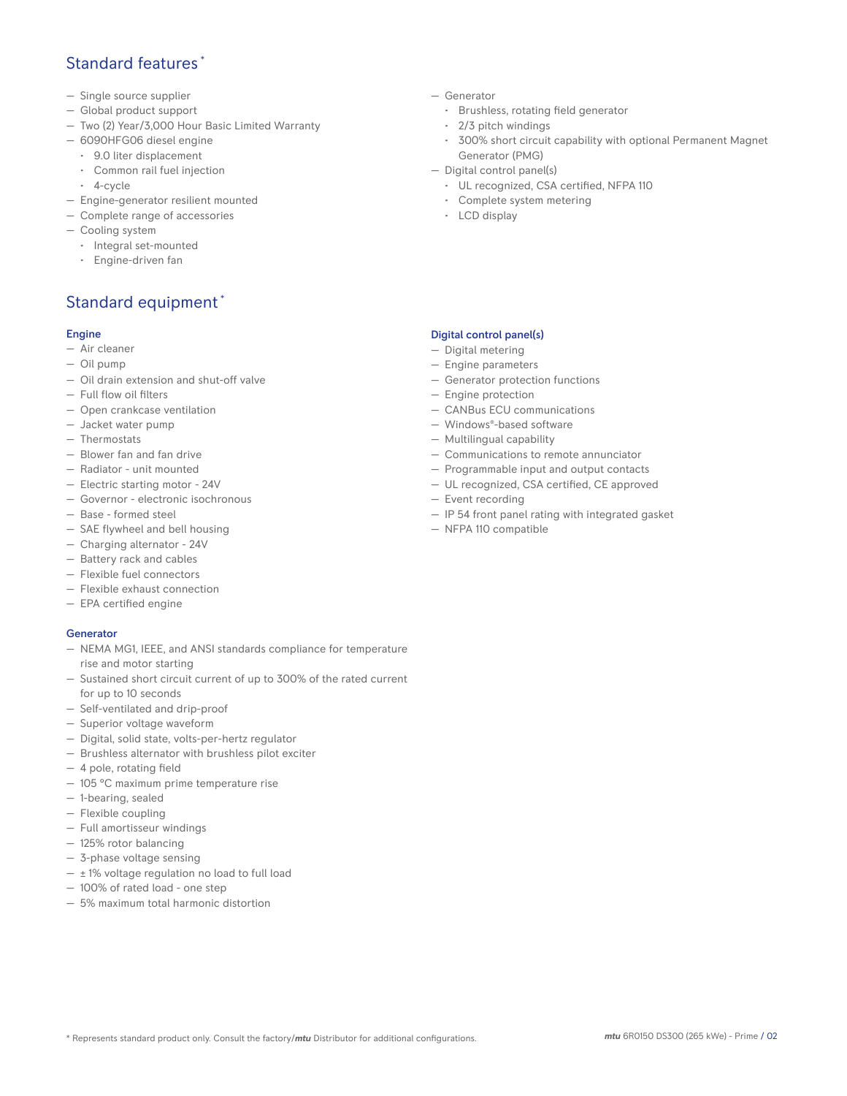## Standard features \*

- Single source supplier
- Global product support
- Two (2) Year/3,000 Hour Basic Limited Warranty
- 6090HFG06 diesel engine
	- 9.0 liter displacement
	- Common rail fuel injection
	- 4-cycle
- Engine-generator resilient mounted
- Complete range of accessories
- Cooling system
- Integral set-mounted
	- Engine-driven fan

# Standard equipment \*

#### Engine

- Air cleaner
- Oil pump
- Oil drain extension and shut-off valve
- Full flow oil filters
- Open crankcase ventilation
- Jacket water pump
- Thermostats
- Blower fan and fan drive
- Radiator unit mounted
- Electric starting motor 24V
- Governor electronic isochronous
- Base formed steel
- SAE flywheel and bell housing
- Charging alternator 24V
- Battery rack and cables
- Flexible fuel connectors
- Flexible exhaust connection
- EPA certified engine

#### **Generator**

- NEMA MG1, IEEE, and ANSI standards compliance for temperature rise and motor starting
- Sustained short circuit current of up to 300% of the rated current for up to 10 seconds
- Self-ventilated and drip-proof
- Superior voltage waveform
- Digital, solid state, volts-per-hertz regulator
- Brushless alternator with brushless pilot exciter
- 4 pole, rotating field
- 105 °C maximum prime temperature rise
- 1-bearing, sealed
- Flexible coupling
- Full amortisseur windings
- 125% rotor balancing
- 3-phase voltage sensing
- $\pm$  1% voltage regulation no load to full load
- 100% of rated load one step
- 5% maximum total harmonic distortion
- Generator
	- Brushless, rotating field generator
	- 2/3 pitch windings
	- 300% short circuit capability with optional Permanent Magnet Generator (PMG)
- Digital control panel(s)
	- UL recognized, CSA certified, NFPA 110
	- Complete system metering
	- LCD display

#### Digital control panel(s)

- Digital metering
- Engine parameters
- Generator protection functions
- Engine protection
- CANBus ECU communications
- Windows®-based software
- Multilingual capability
- Communications to remote annunciator
- Programmable input and output contacts
- UL recognized, CSA certified, CE approved
- Event recording
- IP 54 front panel rating with integrated gasket
- NFPA 110 compatible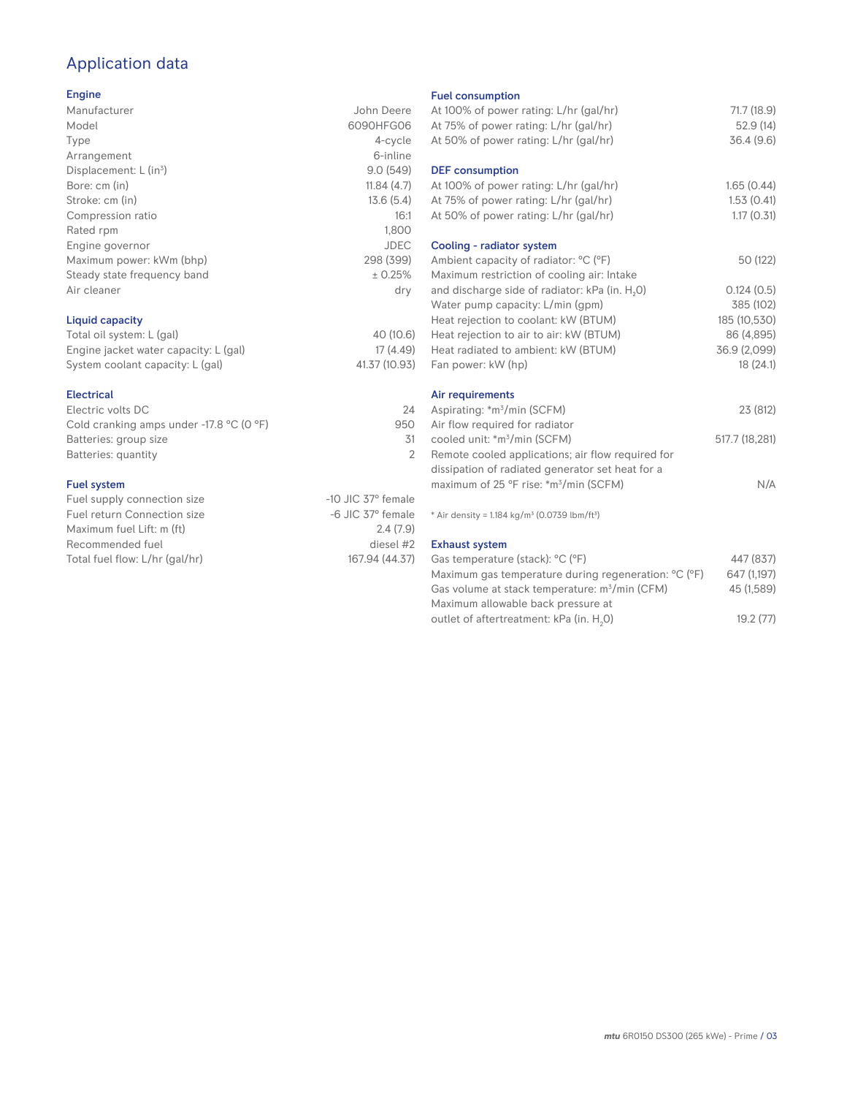# Application data

#### Engine

| Manufacturer                | John Deere  |
|-----------------------------|-------------|
| Model                       | 6090HFG06   |
| Type                        | 4-cycle     |
| Arrangement                 | 6-inline    |
| Displacement: $L (in3)$     | 9.0(549)    |
| Bore: cm (in)               | 11.84(4.7)  |
| Stroke: cm (in)             | 13.6(5.4)   |
| Compression ratio           | 16:1        |
| Rated rpm                   | 1,800       |
| Engine governor             | <b>JDEC</b> |
| Maximum power: kWm (bhp)    | 298 (399)   |
| Steady state frequency band | ± 0.25%     |
| Air cleaner                 | dry         |
|                             |             |
|                             |             |

### Liquid capacity

| Total oil system: L (gal)             | 40 (10.6)     |
|---------------------------------------|---------------|
| Engine jacket water capacity: L (gal) | 17 (4.49)     |
| System coolant capacity: L (gal)      | 41.37 (10.93) |

#### Electrical

| Electric volts DC                                            | 24  |
|--------------------------------------------------------------|-----|
| Cold cranking amps under -17.8 $^{\circ}$ C (O $^{\circ}$ F) | 950 |
| Batteries: group size                                        | 31  |
| Batteries: quantity                                          |     |
|                                                              |     |

#### Fuel system

| Fuel supply connection size    | $-10$ JIC 37 $^{\circ}$ female |
|--------------------------------|--------------------------------|
| Fuel return Connection size    | $-6$ JIC 37 $^{\circ}$ female  |
| Maximum fuel Lift: m (ft)      | 2.4(7.9)                       |
| Recommended fuel               | diesel #2                      |
| Total fuel flow: L/hr (gal/hr) | 167.94 (44.37)                 |
|                                |                                |

#### Fuel consumption

| At 100% of power rating: L/hr (gal/hr)<br>At 75% of power rating: L/hr (gal/hr)<br>At 50% of power rating: L/hr (gal/hr)                                                                                                                                                                                                                                           | 71.7 (18.9)<br>52.9(14)<br>36.4(9.6)                                                          |
|--------------------------------------------------------------------------------------------------------------------------------------------------------------------------------------------------------------------------------------------------------------------------------------------------------------------------------------------------------------------|-----------------------------------------------------------------------------------------------|
| <b>DEF</b> consumption<br>At 100% of power rating: L/hr (gal/hr)<br>At 75% of power rating: L/hr (gal/hr)<br>At 50% of power rating: L/hr (gal/hr)                                                                                                                                                                                                                 | 1.65(0.44)<br>1.53(0.41)<br>1.17(0.31)                                                        |
| Cooling - radiator system<br>Ambient capacity of radiator: °C (°F)<br>Maximum restriction of cooling air: Intake<br>and discharge side of radiator: kPa (in. H <sub>2</sub> O)<br>Water pump capacity: L/min (gpm)<br>Heat rejection to coolant: kW (BTUM)<br>Heat rejection to air to air: kW (BTUM)<br>Heat radiated to ambient: kW (BTUM)<br>Fan power: kW (hp) | 50 (122)<br>0.124(0.5)<br>385 (102)<br>185 (10,530)<br>86 (4,895)<br>36.9 (2,099)<br>18(24.1) |
| Air requirements<br>Aspirating: *m <sup>3</sup> /min (SCFM)<br>Air flow required for radiator<br>cooled unit: *m <sup>3</sup> /min (SCFM)<br>Remote cooled applications; air flow required for<br>dissipation of radiated generator set heat for a<br>maximum of 25 °F rise: *m <sup>3</sup> /min (SCFM)                                                           | 23 (812)<br>517.7 (18,281)<br>N/A                                                             |
| * Air density = 1.184 kg/m <sup>3</sup> (0.0739 lbm/ft <sup>3</sup> )<br><b>Exhaust system</b><br>Gas temperature (stack): °C (°F)<br>Maximum gas temperature during regeneration: °C (°F)<br>Gas volume at stack temperature: m <sup>3</sup> /min (CFM)                                                                                                           | 447 (837)<br>647 (1,197)<br>45 (1.589)                                                        |

| Maximum gas temperature during regeneration: <sup>o</sup> C ( <sup>o</sup> F) | 647 (1.197) |
|-------------------------------------------------------------------------------|-------------|
| Gas volume at stack temperature: m <sup>3</sup> /min (CFM)                    | 45 (1.589)  |
| Maximum allowable back pressure at                                            |             |
| outlet of aftertreatment: kPa (in. H <sub>2</sub> O)                          | 19.2(77)    |